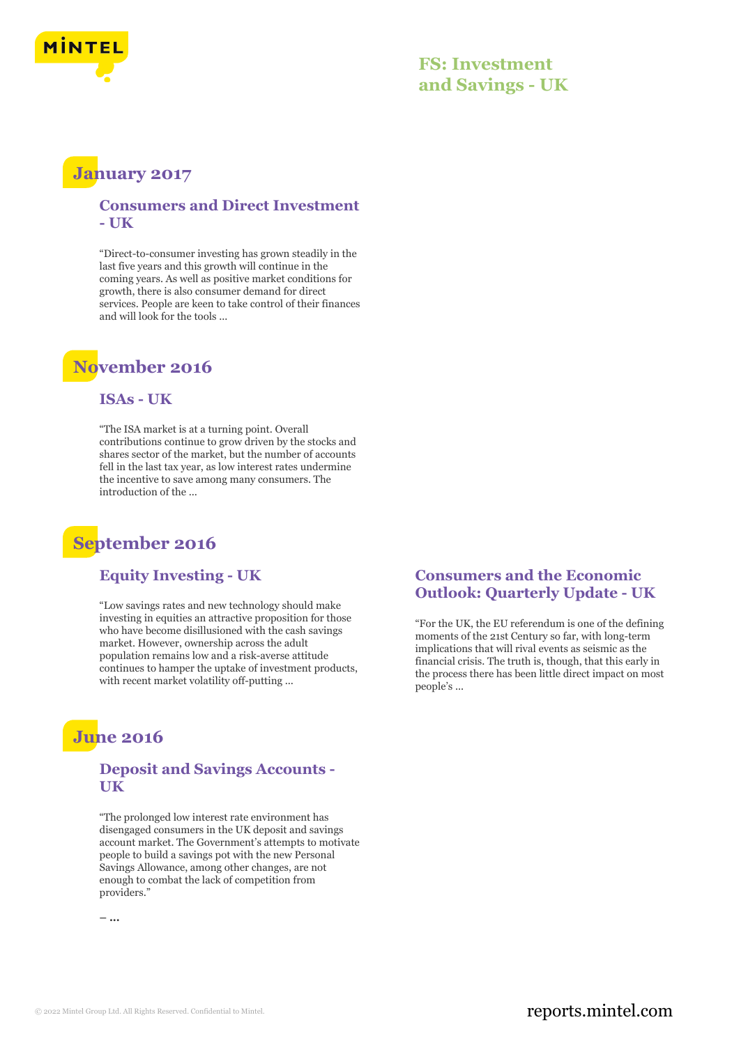

### **FS: Investment and Savings - UK**

## **January 2017**

#### **Consumers and Direct Investment - UK**

"Direct-to-consumer investing has grown steadily in the last five years and this growth will continue in the coming years. As well as positive market conditions for growth, there is also consumer demand for direct services. People are keen to take control of their finances and will look for the tools ...

### **November 2016**

#### **ISAs - UK**

"The ISA market is at a turning point. Overall contributions continue to grow driven by the stocks and shares sector of the market, but the number of accounts fell in the last tax year, as low interest rates undermine the incentive to save among many consumers. The introduction of the ...

## **September 2016**

#### **Equity Investing - UK**

"Low savings rates and new technology should make investing in equities an attractive proposition for those who have become disillusioned with the cash savings market. However, ownership across the adult population remains low and a risk-averse attitude continues to hamper the uptake of investment products, with recent market volatility off-putting ...

### **June 2016**

#### **Deposit and Savings Accounts - UK**

"The prolonged low interest rate environment has disengaged consumers in the UK deposit and savings account market. The Government's attempts to motivate people to build a savings pot with the new Personal Savings Allowance, among other changes, are not enough to combat the lack of competition from providers."

**– ...**

#### **Consumers and the Economic Outlook: Quarterly Update - UK**

"For the UK, the EU referendum is one of the defining moments of the 21st Century so far, with long-term implications that will rival events as seismic as the financial crisis. The truth is, though, that this early in the process there has been little direct impact on most people's ...